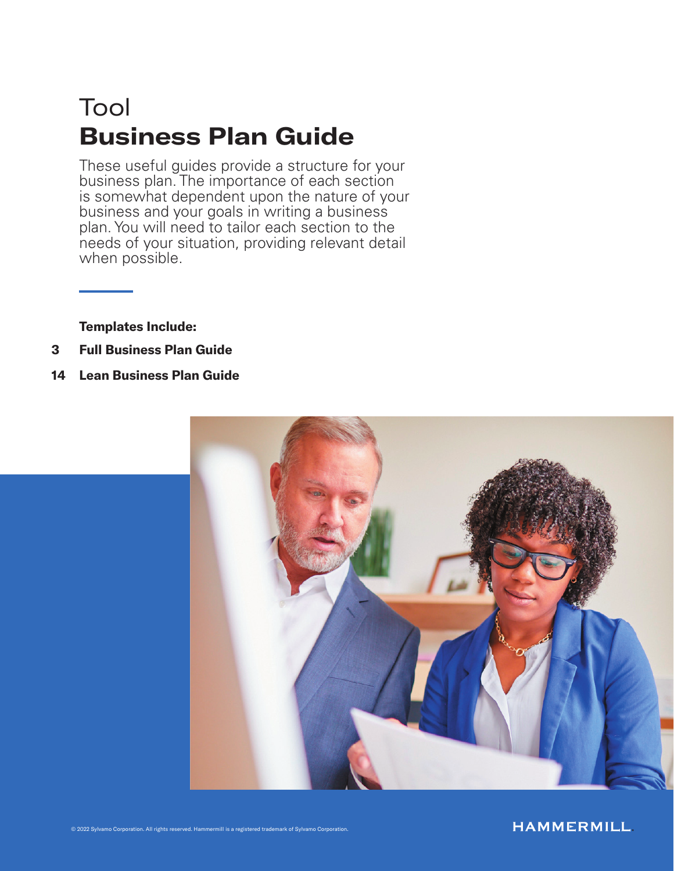# Tool Business Plan Guide

These useful guides provide a structure for your business plan. The importance of each section is somewhat dependent upon the nature of your business and your goals in writing a business plan. You will need to tailor each section to the needs of your situation, providing relevant detail when possible.

Templates Include:

- 3 Full Business Plan Guide
- 14 Lean Business Plan Guide

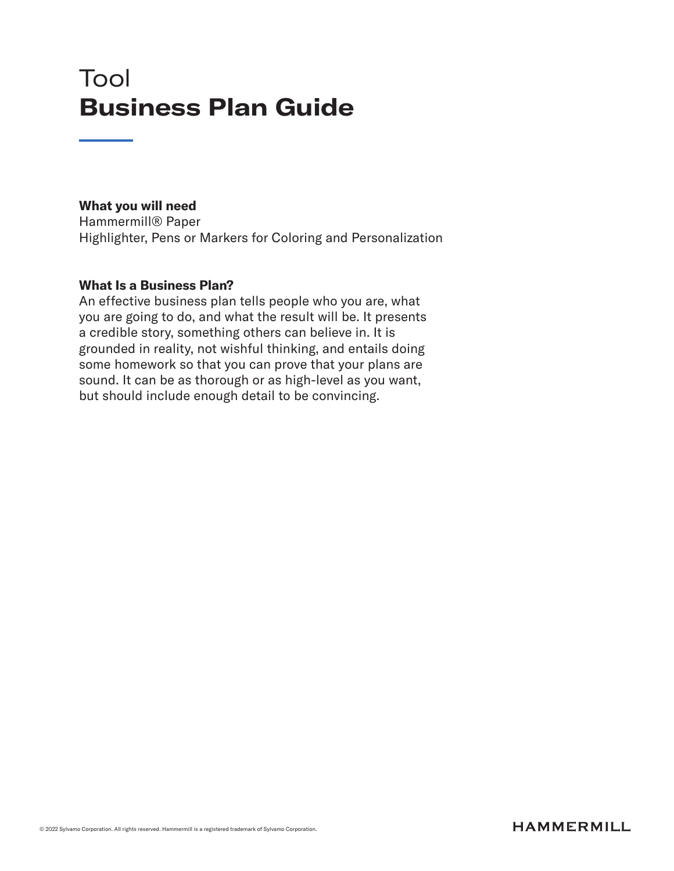## Tool Business Plan Guide

#### What you will need

Hammermill® Paper Highlighter, Pens or Markers for Coloring and Personalization

#### What Is a Business Plan?

An effective business plan tells people who you are, what you are going to do, and what the result will be. It presents a credible story, something others can believe in. It is grounded in reality, not wishful thinking, and entails doing some homework so that you can prove that your plans are sound. It can be as thorough or as high-level as you want, but should include enough detail to be convincing.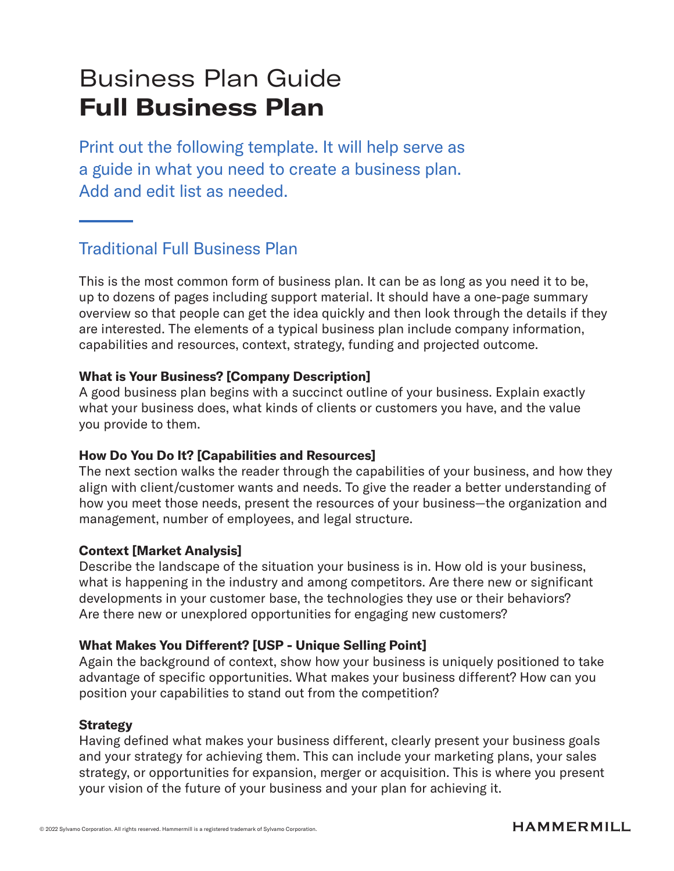# Business Plan Guide Full Business Plan

Print out the following template. It will help serve as a guide in what you need to create a business plan. Add and edit list as needed.

## Traditional Full Business Plan

This is the most common form of business plan. It can be as long as you need it to be, up to dozens of pages including support material. It should have a one-page summary overview so that people can get the idea quickly and then look through the details if they are interested. The elements of a typical business plan include company information, capabilities and resources, context, strategy, funding and projected outcome.

### What is Your Business? [Company Description]

A good business plan begins with a succinct outline of your business. Explain exactly what your business does, what kinds of clients or customers you have, and the value you provide to them.

#### How Do You Do It? [Capabilities and Resources]

The next section walks the reader through the capabilities of your business, and how they align with client/customer wants and needs. To give the reader a better understanding of how you meet those needs, present the resources of your business—the organization and management, number of employees, and legal structure.

#### Context [Market Analysis]

Describe the landscape of the situation your business is in. How old is your business, what is happening in the industry and among competitors. Are there new or significant developments in your customer base, the technologies they use or their behaviors? Are there new or unexplored opportunities for engaging new customers?

#### What Makes You Different? [USP - Unique Selling Point]

Again the background of context, show how your business is uniquely positioned to take advantage of specific opportunities. What makes your business different? How can you position your capabilities to stand out from the competition?

#### **Strategy**

Having defined what makes your business different, clearly present your business goals and your strategy for achieving them. This can include your marketing plans, your sales strategy, or opportunities for expansion, merger or acquisition. This is where you present your vision of the future of your business and your plan for achieving it.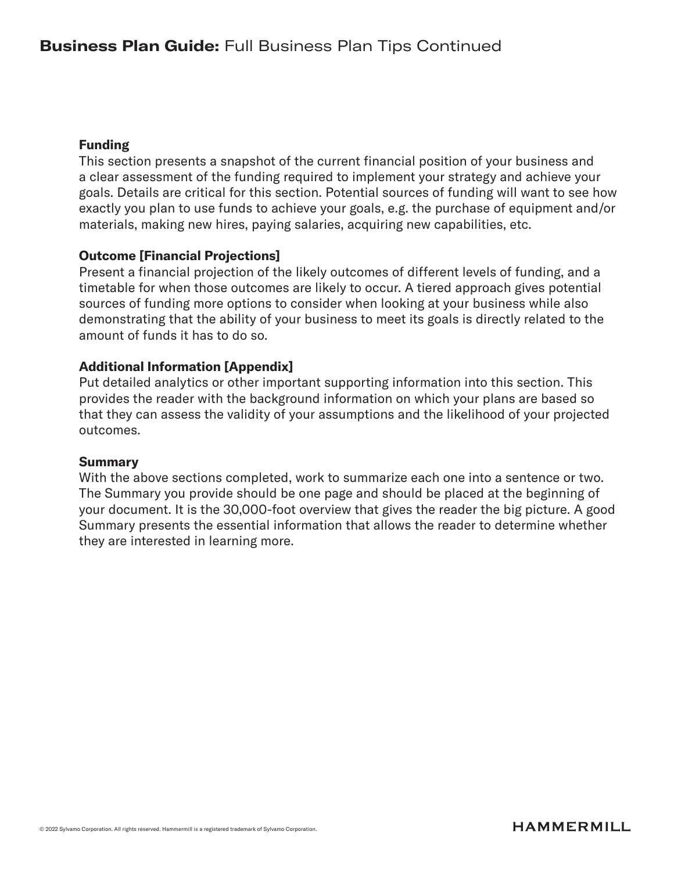#### Funding

This section presents a snapshot of the current financial position of your business and a clear assessment of the funding required to implement your strategy and achieve your goals. Details are critical for this section. Potential sources of funding will want to see how exactly you plan to use funds to achieve your goals, e.g. the purchase of equipment and/or materials, making new hires, paying salaries, acquiring new capabilities, etc.

### Outcome [Financial Projections]

Present a financial projection of the likely outcomes of different levels of funding, and a timetable for when those outcomes are likely to occur. A tiered approach gives potential sources of funding more options to consider when looking at your business while also demonstrating that the ability of your business to meet its goals is directly related to the amount of funds it has to do so.

#### Additional Information [Appendix]

Put detailed analytics or other important supporting information into this section. This provides the reader with the background information on which your plans are based so that they can assess the validity of your assumptions and the likelihood of your projected outcomes.

#### **Summary**

With the above sections completed, work to summarize each one into a sentence or two. The Summary you provide should be one page and should be placed at the beginning of your document. It is the 30,000-foot overview that gives the reader the big picture. A good Summary presents the essential information that allows the reader to determine whether they are interested in learning more.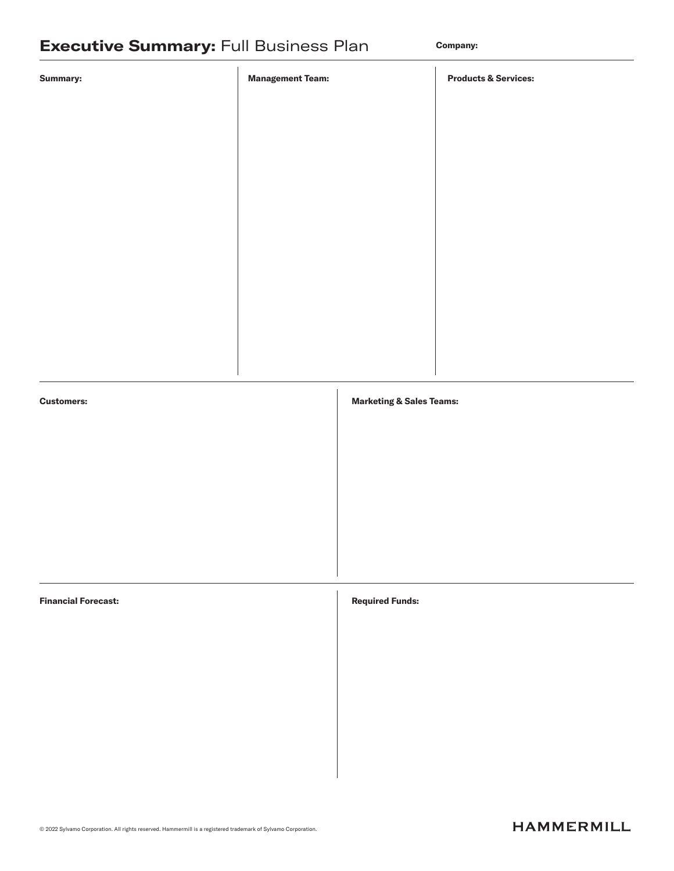| <b>Summary:</b>            | <b>Management Team:</b> |                                     | <b>Products &amp; Services:</b> |
|----------------------------|-------------------------|-------------------------------------|---------------------------------|
|                            |                         |                                     |                                 |
|                            |                         |                                     |                                 |
|                            |                         |                                     |                                 |
|                            |                         |                                     |                                 |
|                            |                         |                                     |                                 |
|                            |                         |                                     |                                 |
|                            |                         |                                     |                                 |
|                            |                         |                                     |                                 |
| <b>Customers:</b>          |                         | <b>Marketing &amp; Sales Teams:</b> |                                 |
|                            |                         |                                     |                                 |
|                            |                         |                                     |                                 |
|                            |                         |                                     |                                 |
|                            |                         |                                     |                                 |
| <b>Financial Forecast:</b> |                         | <b>Required Funds:</b>              |                                 |
|                            |                         |                                     |                                 |
|                            |                         |                                     |                                 |
|                            |                         |                                     |                                 |
|                            |                         |                                     |                                 |
|                            |                         |                                     |                                 |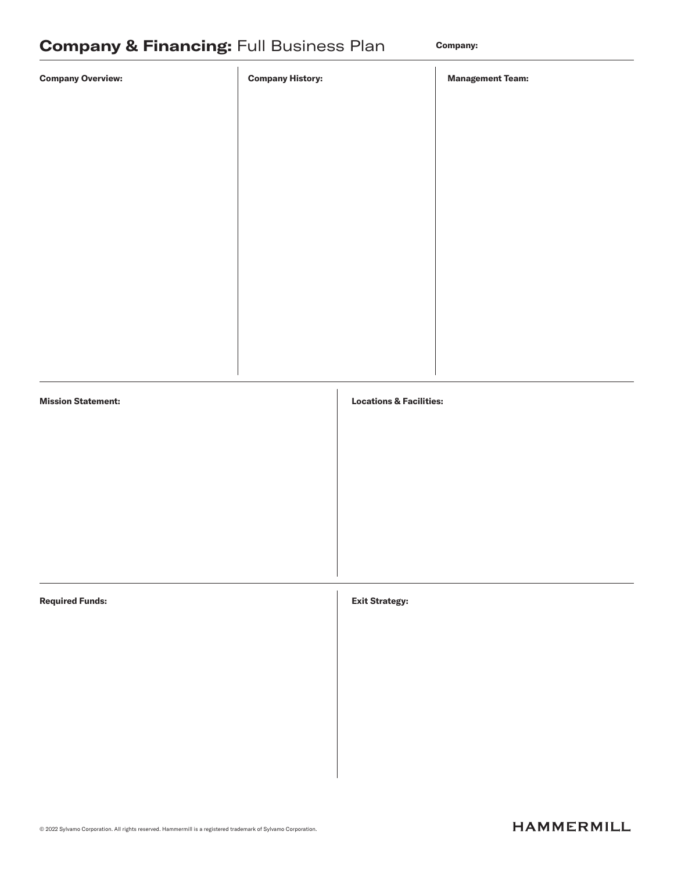| <b>Company Overview:</b>  | <b>Company History:</b> |                                    | <b>Management Team:</b> |
|---------------------------|-------------------------|------------------------------------|-------------------------|
|                           |                         |                                    |                         |
|                           |                         |                                    |                         |
|                           |                         |                                    |                         |
|                           |                         |                                    |                         |
|                           |                         |                                    |                         |
|                           |                         |                                    |                         |
|                           |                         |                                    |                         |
|                           |                         |                                    |                         |
| <b>Mission Statement:</b> |                         | <b>Locations &amp; Facilities:</b> |                         |
|                           |                         |                                    |                         |
|                           |                         |                                    |                         |
|                           |                         |                                    |                         |
|                           |                         |                                    |                         |
| <b>Required Funds:</b>    |                         |                                    |                         |
|                           |                         | <b>Exit Strategy:</b>              |                         |
|                           |                         |                                    |                         |
|                           |                         |                                    |                         |
|                           |                         |                                    |                         |
|                           |                         |                                    |                         |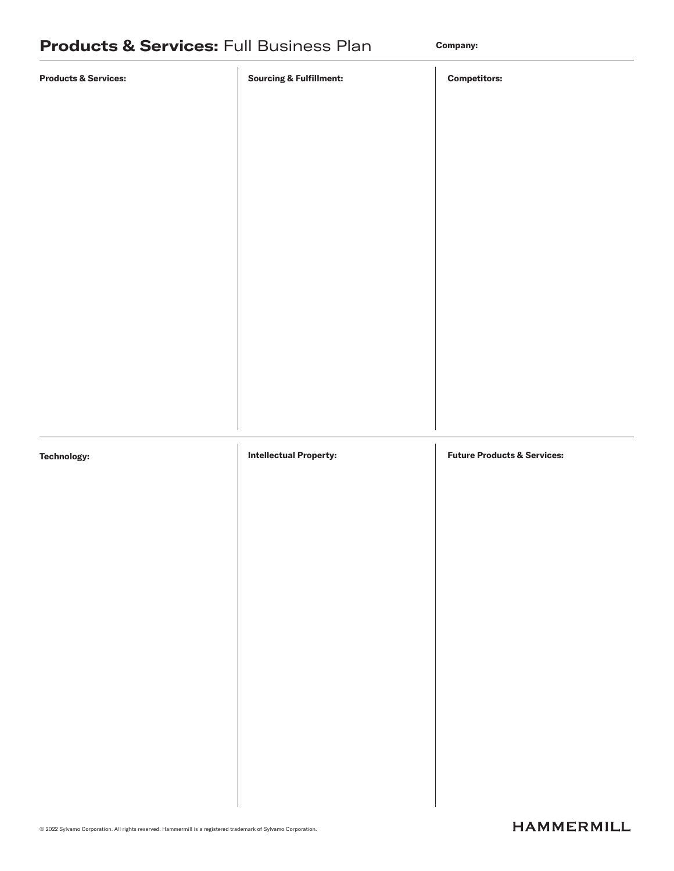| <b>Products &amp; Services:</b> | <b>Sourcing &amp; Fulfillment:</b> | <b>Competitors:</b>                    |
|---------------------------------|------------------------------------|----------------------------------------|
|                                 |                                    |                                        |
|                                 |                                    |                                        |
|                                 |                                    |                                        |
|                                 |                                    |                                        |
|                                 |                                    |                                        |
|                                 |                                    |                                        |
|                                 |                                    |                                        |
|                                 |                                    |                                        |
|                                 |                                    |                                        |
|                                 |                                    |                                        |
|                                 |                                    |                                        |
|                                 |                                    |                                        |
| <b>Technology:</b>              | <b>Intellectual Property:</b>      | <b>Future Products &amp; Services:</b> |
|                                 |                                    |                                        |
|                                 |                                    |                                        |
|                                 |                                    |                                        |
|                                 |                                    |                                        |
|                                 |                                    |                                        |
|                                 |                                    |                                        |
|                                 |                                    |                                        |
|                                 |                                    |                                        |
|                                 |                                    |                                        |
|                                 |                                    |                                        |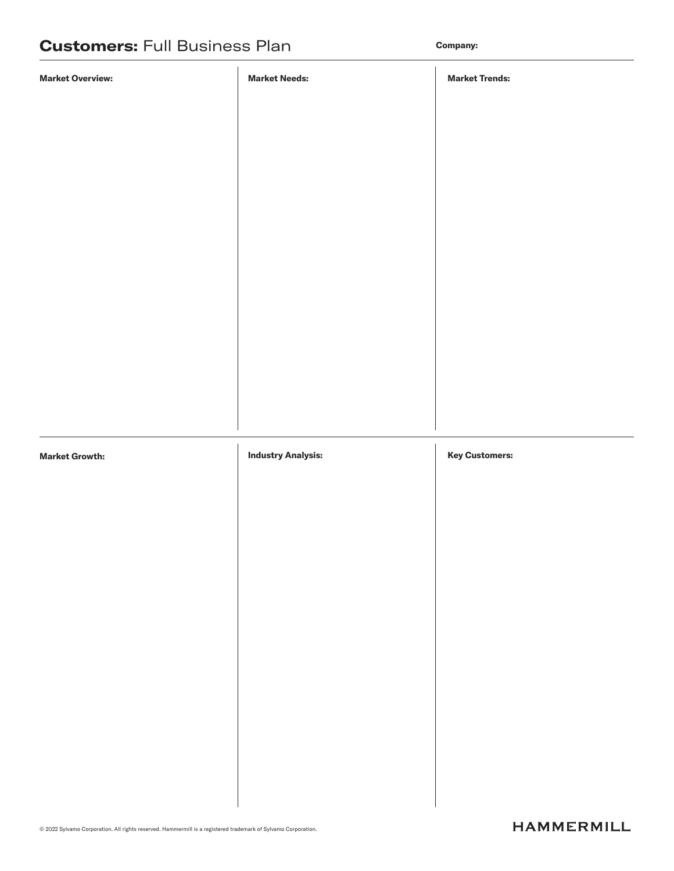| <b>Market Overview:</b> | <b>Market Needs:</b>      | <b>Market Trends:</b> |
|-------------------------|---------------------------|-----------------------|
|                         |                           |                       |
|                         |                           |                       |
|                         |                           |                       |
|                         |                           |                       |
|                         |                           |                       |
|                         |                           |                       |
|                         |                           |                       |
|                         |                           |                       |
|                         |                           |                       |
|                         |                           |                       |
|                         |                           |                       |
|                         |                           |                       |
|                         |                           |                       |
| <b>Market Growth:</b>   | <b>Industry Analysis:</b> | <b>Key Customers:</b> |
|                         |                           |                       |
|                         |                           |                       |
|                         |                           |                       |
|                         |                           |                       |
|                         |                           |                       |
|                         |                           |                       |
|                         |                           |                       |
|                         |                           |                       |
|                         |                           |                       |
|                         |                           |                       |
|                         |                           |                       |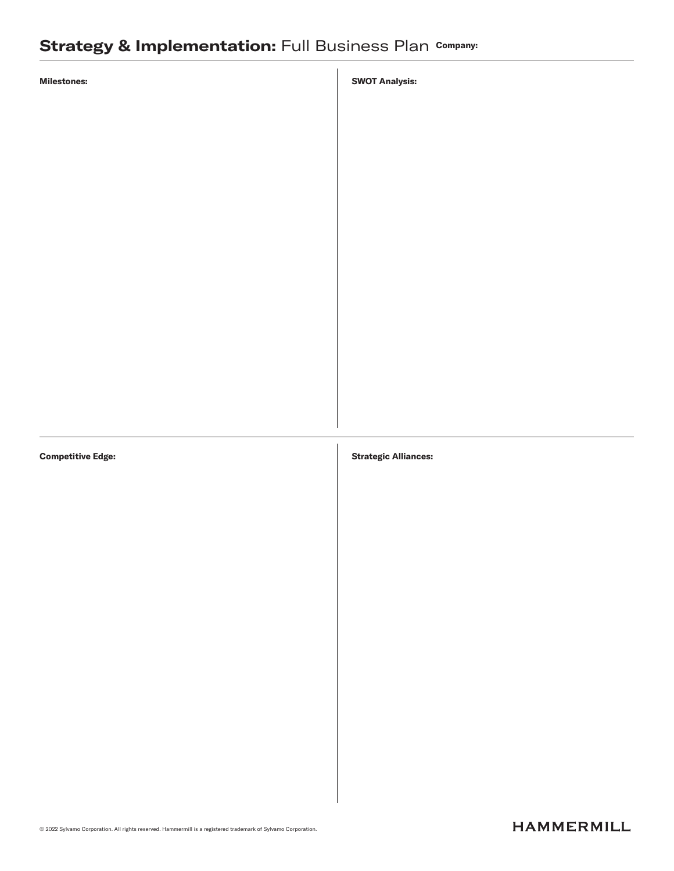## Strategy & Implementation: Full Business Plan Company:

SWOT Analysis:

Competitive Edge:

#### Strategic Alliances:

© 2022 Sylvamo Corporation. All rights reserved. Hammermill is a registered trademark of Sylvamo Corporation.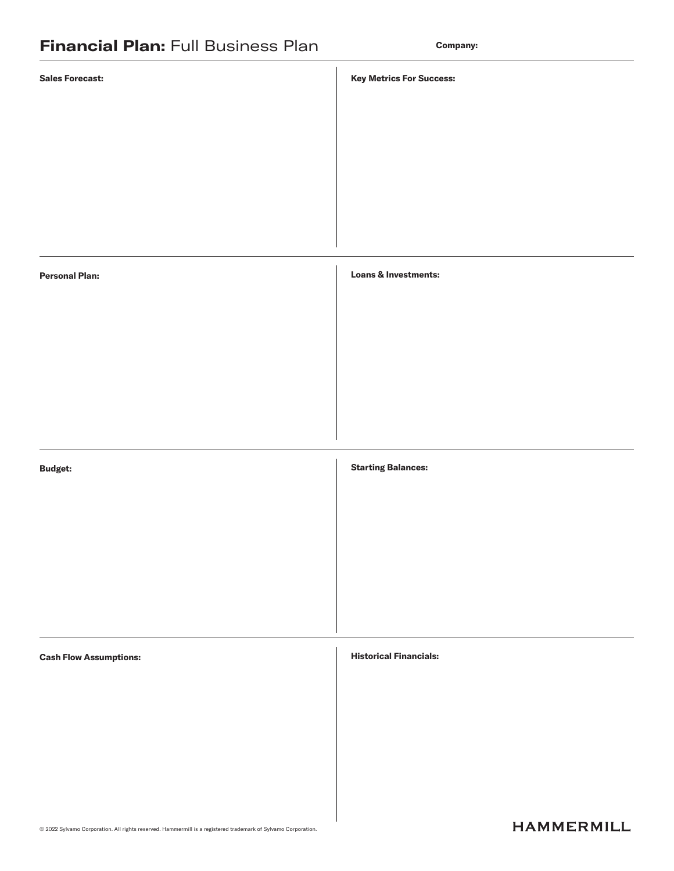| <b>Sales Forecast:</b>        | <b>Key Metrics For Success:</b> |
|-------------------------------|---------------------------------|
|                               |                                 |
|                               |                                 |
|                               |                                 |
|                               |                                 |
|                               |                                 |
| <b>Personal Plan:</b>         | <b>Loans &amp; Investments:</b> |
|                               |                                 |
|                               |                                 |
|                               |                                 |
|                               |                                 |
| <b>Budget:</b>                | <b>Starting Balances:</b>       |
|                               |                                 |
|                               |                                 |
|                               |                                 |
|                               |                                 |
| <b>Cash Flow Assumptions:</b> | <b>Historical Financials:</b>   |
|                               |                                 |
|                               |                                 |
|                               |                                 |
|                               |                                 |
|                               |                                 |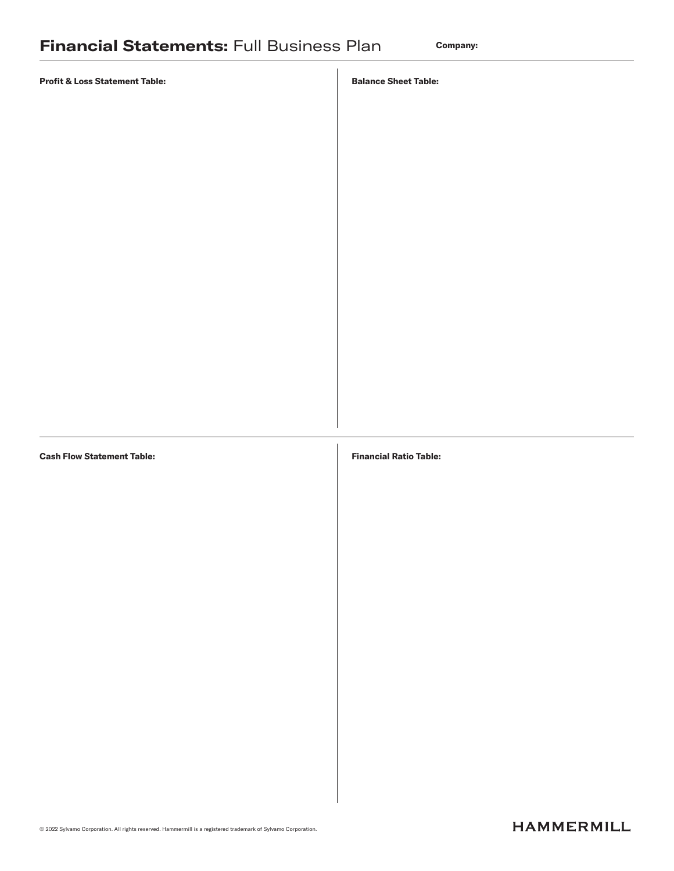#### Balance Sheet Table:

Financial Ratio Table:

#### Cash Flow Statement Table: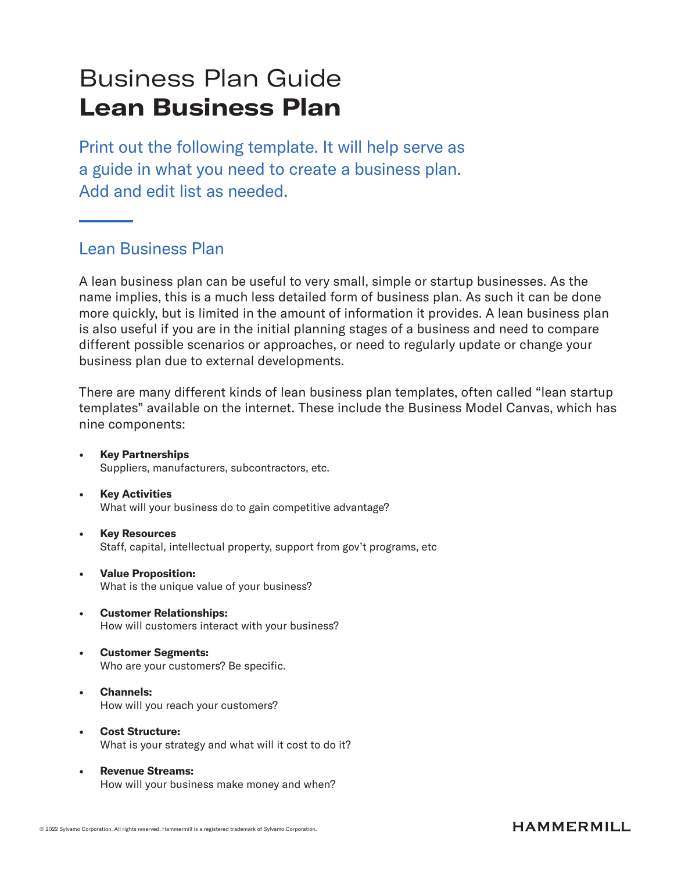# Business Plan Guide Lean Business Plan

Print out the following template. It will help serve as a guide in what you need to create a business plan. Add and edit list as needed.

### Lean Business Plan

A lean business plan can be useful to very small, simple or startup businesses. As the name implies, this is a much less detailed form of business plan. As such it can be done more quickly, but is limited in the amount of information it provides. A lean business plan is also useful if you are in the initial planning stages of a business and need to compare different possible scenarios or approaches, or need to regularly update or change your business plan due to external developments.

There are many different kinds of lean business plan templates, often called "lean startup templates" available on the internet. These include the Business Model Canvas, which has nine components:

- **Key Partnerships** Suppliers, manufacturers, subcontractors, etc.
- Key Activities What will your business do to gain competitive advantage?
- Key Resources Staff, capital, intellectual property, support from gov't programs, etc
- Value Proposition: What is the unique value of your business?
- Customer Relationships: How will customers interact with your business?
- Customer Segments: Who are your customers? Be specific.
- Channels: How will you reach your customers?
- Cost Structure: What is your strategy and what will it cost to do it?
- Revenue Streams: How will your business make money and when?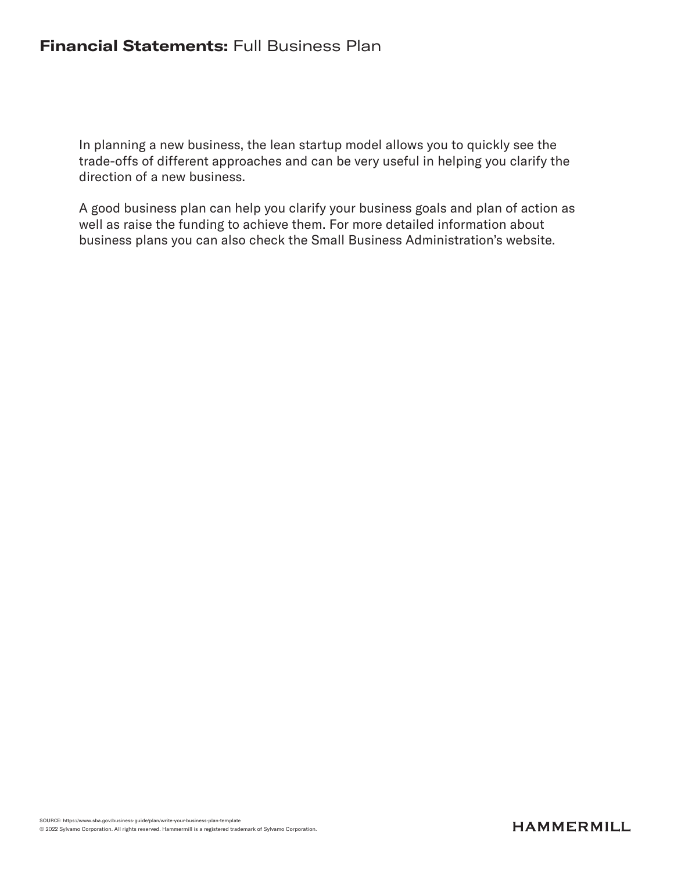### **Financial Statements: Full Business Plan**

In planning a new business, the lean startup model allows you to quickly see the trade-offs of different approaches and can be very useful in helping you clarify the direction of a new business.

A good business plan can help you clarify your business goals and plan of action as well as raise the funding to achieve them. For more detailed information about business plans you can also check the Small Business Administration's website.